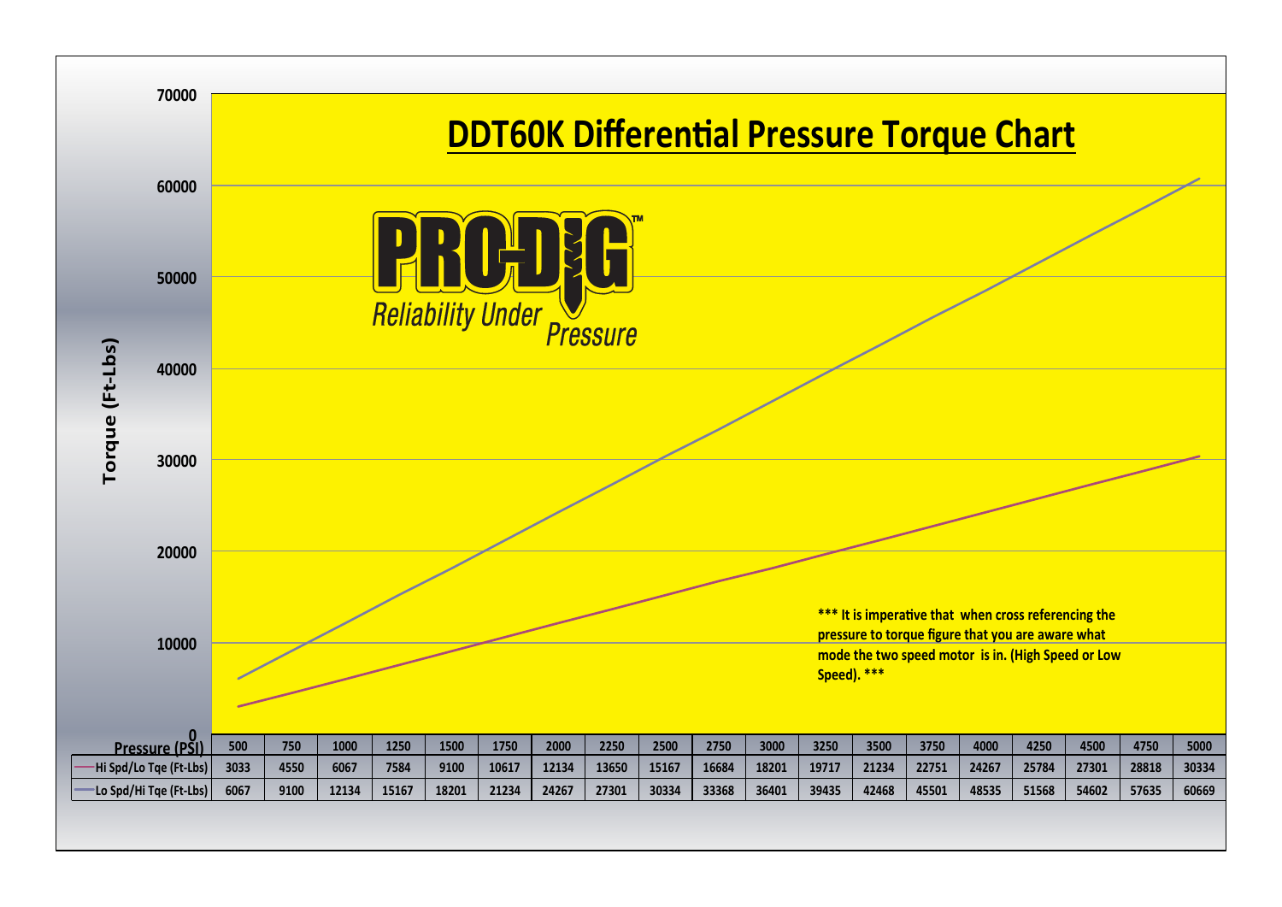